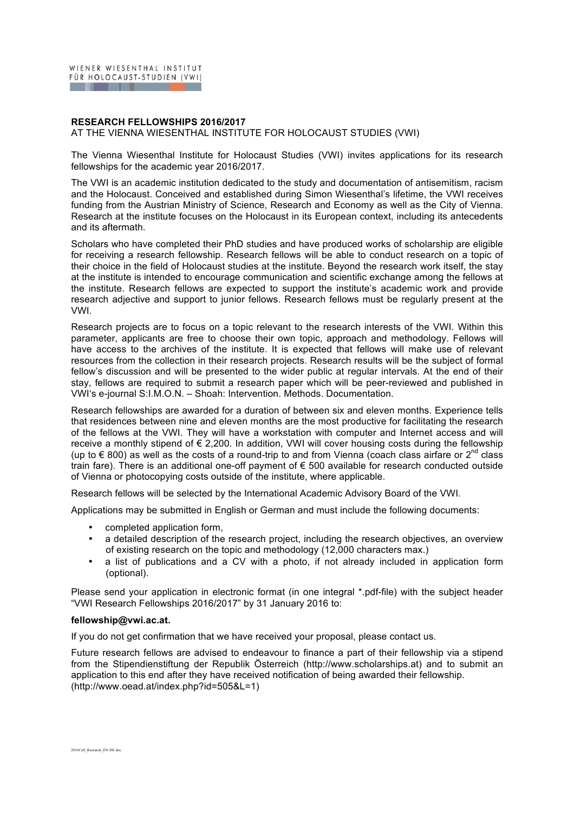## **RESEARCH FELLOWSHIPS 2016/2017**

AT THE VIENNA WIESENTHAL INSTITUTE FOR HOLOCAUST STUDIES (VWI)

The Vienna Wiesenthal Institute for Holocaust Studies (VWI) invites applications for its research fellowships for the academic year 2016/2017.

The VWI is an academic institution dedicated to the study and documentation of antisemitism, racism and the Holocaust. Conceived and established during Simon Wiesenthal's lifetime, the VWI receives funding from the Austrian Ministry of Science, Research and Economy as well as the City of Vienna. Research at the institute focuses on the Holocaust in its European context, including its antecedents and its aftermath.

Scholars who have completed their PhD studies and have produced works of scholarship are eligible for receiving a research fellowship. Research fellows will be able to conduct research on a topic of their choice in the field of Holocaust studies at the institute. Beyond the research work itself, the stay at the institute is intended to encourage communication and scientific exchange among the fellows at the institute. Research fellows are expected to support the institute's academic work and provide research adjective and support to junior fellows. Research fellows must be regularly present at the VWI.

Research projects are to focus on a topic relevant to the research interests of the VWI. Within this parameter, applicants are free to choose their own topic, approach and methodology. Fellows will have access to the archives of the institute. It is expected that fellows will make use of relevant resources from the collection in their research projects. Research results will be the subject of formal fellow's discussion and will be presented to the wider public at regular intervals. At the end of their stay, fellows are required to submit a research paper which will be peer-reviewed and published in VWI's e-journal S:I.M.O.N. – Shoah: Intervention. Methods. Documentation.

Research fellowships are awarded for a duration of between six and eleven months. Experience tells that residences between nine and eleven months are the most productive for facilitating the research of the fellows at the VWI. They will have a workstation with computer and Internet access and will receive a monthly stipend of  $\epsilon$  2,200. In addition, VWI will cover housing costs during the fellowship (up to € 800) as well as the costs of a round-trip to and from Vienna (coach class airfare or 2<sup>nd</sup> class train fare). There is an additional one-off payment of € 500 available for research conducted outside of Vienna or photocopying costs outside of the institute, where applicable.

Research fellows will be selected by the International Academic Advisory Board of the VWI.

Applications may be submitted in English or German and must include the following documents:

- completed application form,
- a detailed description of the research project, including the research objectives, an overview of existing research on the topic and methodology (12,000 characters max.)
- a list of publications and a CV with a photo, if not already included in application form (optional).

Please send your application in electronic format (in one integral \*.pdf-file) with the subject header "VWI Research Fellowships 2016/2017" by 31 January 2016 to:

## **fellowship@vwi.ac.at.**

If you do not get confirmation that we have received your proposal, please contact us.

Future research fellows are advised to endeavour to finance a part of their fellowship via a stipend from the Stipendienstiftung der Republik Österreich (http://www.scholarships.at) and to submit an application to this end after they have received notification of being awarded their fellowship. (http://www.oead.at/index.php?id=505&L=1)